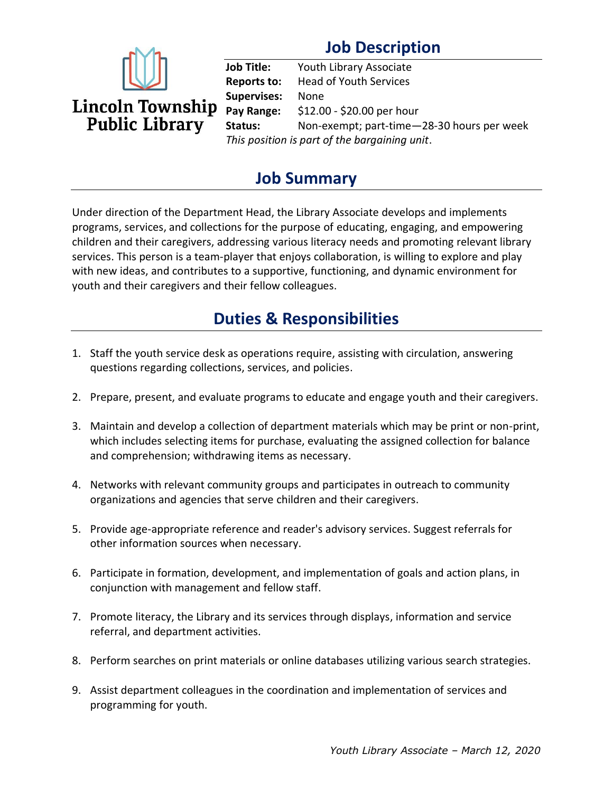# **Job Description**



**Job Title:** Youth Library Associate **Reports to:** Head of Youth Services **Supervises:** None **Pay Range:** \$12.00 - \$20.00 per hour **Status:** Non-exempt; part-time—28-30 hours per week *This position is part of the bargaining unit*.

### **Job Summary**

Under direction of the Department Head, the Library Associate develops and implements programs, services, and collections for the purpose of educating, engaging, and empowering children and their caregivers, addressing various literacy needs and promoting relevant library services. This person is a team-player that enjoys collaboration, is willing to explore and play with new ideas, and contributes to a supportive, functioning, and dynamic environment for youth and their caregivers and their fellow colleagues.

### **Duties & Responsibilities**

- 1. Staff the youth service desk as operations require, assisting with circulation, answering questions regarding collections, services, and policies.
- 2. Prepare, present, and evaluate programs to educate and engage youth and their caregivers.
- 3. Maintain and develop a collection of department materials which may be print or non-print, which includes selecting items for purchase, evaluating the assigned collection for balance and comprehension; withdrawing items as necessary.
- 4. Networks with relevant community groups and participates in outreach to community organizations and agencies that serve children and their caregivers.
- 5. Provide age-appropriate reference and reader's advisory services. Suggest referrals for other information sources when necessary.
- 6. Participate in formation, development, and implementation of goals and action plans, in conjunction with management and fellow staff.
- 7. Promote literacy, the Library and its services through displays, information and service referral, and department activities.
- 8. Perform searches on print materials or online databases utilizing various search strategies.
- 9. Assist department colleagues in the coordination and implementation of services and programming for youth.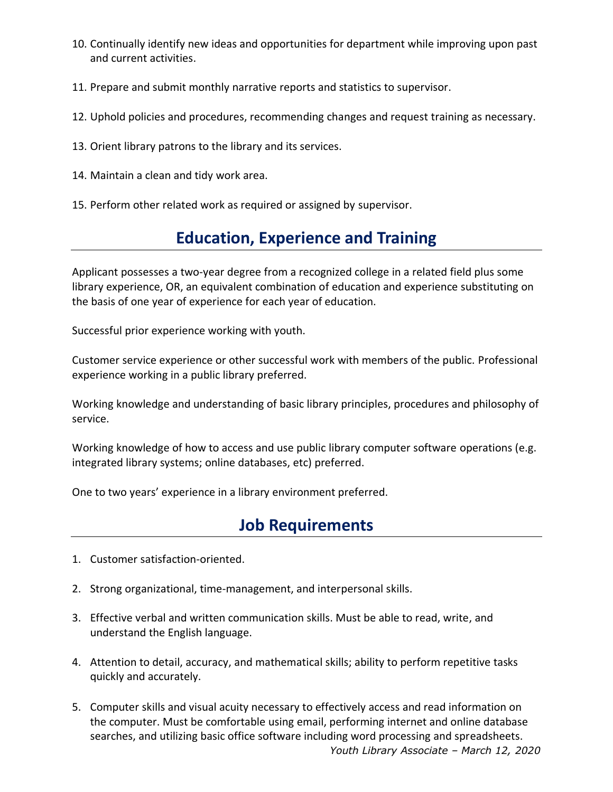- 10. Continually identify new ideas and opportunities for department while improving upon past and current activities.
- 11. Prepare and submit monthly narrative reports and statistics to supervisor.
- 12. Uphold policies and procedures, recommending changes and request training as necessary.
- 13. Orient library patrons to the library and its services.
- 14. Maintain a clean and tidy work area.
- 15. Perform other related work as required or assigned by supervisor.

### **Education, Experience and Training**

Applicant possesses a two-year degree from a recognized college in a related field plus some library experience, OR, an equivalent combination of education and experience substituting on the basis of one year of experience for each year of education.

Successful prior experience working with youth.

Customer service experience or other successful work with members of the public. Professional experience working in a public library preferred.

Working knowledge and understanding of basic library principles, procedures and philosophy of service.

Working knowledge of how to access and use public library computer software operations (e.g. integrated library systems; online databases, etc) preferred.

One to two years' experience in a library environment preferred.

#### **Job Requirements**

- 1. Customer satisfaction-oriented.
- 2. Strong organizational, time-management, and interpersonal skills.
- 3. Effective verbal and written communication skills. Must be able to read, write, and understand the English language.
- 4. Attention to detail, accuracy, and mathematical skills; ability to perform repetitive tasks quickly and accurately.
- *Youth Library Associate – March 12, 2020* 5. Computer skills and visual acuity necessary to effectively access and read information on the computer. Must be comfortable using email, performing internet and online database searches, and utilizing basic office software including word processing and spreadsheets.